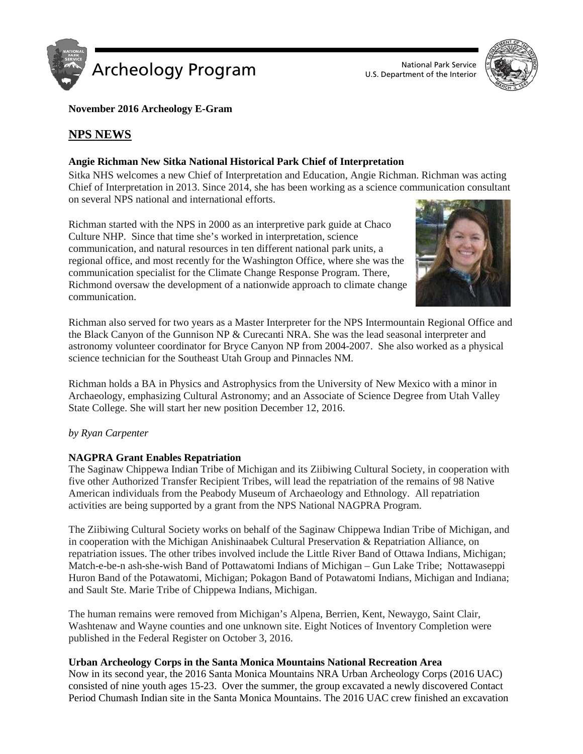



**November 2016 Archeology E-Gram**

# **NPS NEWS**

# **Angie Richman New Sitka National Historical Park Chief of Interpretation**

Sitka NHS welcomes a new Chief of Interpretation and Education, Angie Richman. Richman was acting Chief of Interpretation in 2013. Since 2014, she has been working as a science communication consultant on several NPS national and international efforts.

Richman started with the NPS in 2000 as an interpretive park guide at Chaco Culture NHP. Since that time she's worked in interpretation, science communication, and natural resources in ten different national park units, a regional office, and most recently for the Washington Office, where she was the communication specialist for the Climate Change Response Program. There, Richmond oversaw the development of a nationwide approach to climate change communication.



Richman also served for two years as a Master Interpreter for the NPS Intermountain Regional Office and the Black Canyon of the Gunnison NP & Curecanti NRA. She was the lead seasonal interpreter and astronomy volunteer coordinator for Bryce Canyon NP from 2004-2007. She also worked as a physical science technician for the Southeast Utah Group and Pinnacles NM.

Richman holds a BA in Physics and Astrophysics from the University of New Mexico with a minor in Archaeology, emphasizing Cultural Astronomy; and an Associate of Science Degree from Utah Valley State College. She will start her new position December 12, 2016.

## *by Ryan Carpenter*

## **NAGPRA Grant Enables Repatriation**

The Saginaw Chippewa Indian Tribe of Michigan and its Ziibiwing Cultural Society, in cooperation with five other Authorized Transfer Recipient Tribes, will lead the repatriation of the remains of 98 Native American individuals from the Peabody Museum of Archaeology and Ethnology. All repatriation activities are being supported by a grant from the NPS National NAGPRA Program.

The Ziibiwing Cultural Society works on behalf of the Saginaw Chippewa Indian Tribe of Michigan, and in cooperation with the Michigan Anishinaabek Cultural Preservation & Repatriation Alliance, on repatriation issues. The other tribes involved include the Little River Band of Ottawa Indians, Michigan; Match-e-be-n ash-she-wish Band of Pottawatomi Indians of Michigan – Gun Lake Tribe; Nottawaseppi Huron Band of the Potawatomi, Michigan; Pokagon Band of Potawatomi Indians, Michigan and Indiana; and Sault Ste. Marie Tribe of Chippewa Indians, Michigan.

The human remains were removed from Michigan's Alpena, Berrien, Kent, Newaygo, Saint Clair, Washtenaw and Wayne counties and one unknown site. Eight Notices of Inventory Completion were published in the Federal Register on October 3, 2016.

## **Urban Archeology Corps in the Santa Monica Mountains National Recreation Area**

Now in its second year, the 2016 Santa Monica Mountains NRA Urban Archeology Corps (2016 UAC) consisted of nine youth ages 15-23. Over the summer, the group excavated a newly discovered Contact Period Chumash Indian site in the Santa Monica Mountains. The 2016 UAC crew finished an excavation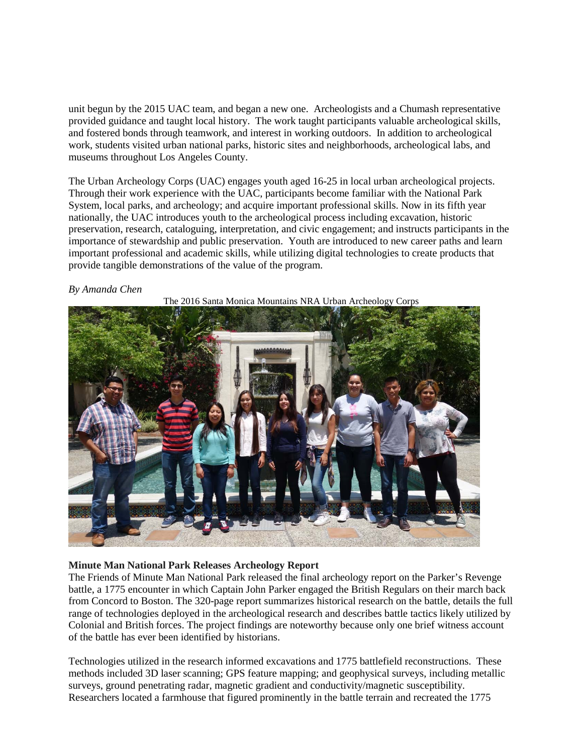unit begun by the 2015 UAC team, and began a new one. Archeologists and a Chumash representative provided guidance and taught local history. The work taught participants valuable archeological skills, and fostered bonds through teamwork, and interest in working outdoors. In addition to archeological work, students visited urban national parks, historic sites and neighborhoods, archeological labs, and museums throughout Los Angeles County.

The Urban Archeology Corps (UAC) engages youth aged 16-25 in local urban archeological projects. Through their work experience with the UAC, participants become familiar with the National Park System, local parks, and archeology; and acquire important professional skills. Now in its fifth year nationally, the UAC introduces youth to the archeological process including excavation, historic preservation, research, cataloguing, interpretation, and civic engagement; and instructs participants in the importance of stewardship and public preservation. Youth are introduced to new career paths and learn important professional and academic skills, while utilizing digital technologies to create products that provide tangible demonstrations of the value of the program.

#### *By Amanda Chen*



#### The 2016 Santa Monica Mountains NRA Urban Archeology Corps

## **Minute Man National Park Releases Archeology Report**

The Friends of Minute Man National Park released the final archeology report on the Parker's Revenge battle, a 1775 encounter in which Captain John Parker engaged the British Regulars on their march back from Concord to Boston. The 320-page report summarizes historical research on the battle, details the full range of technologies deployed in the archeological research and describes battle tactics likely utilized by Colonial and British forces. The project findings are noteworthy because only one brief witness account of the battle has ever been identified by historians.

Technologies utilized in the research informed excavations and 1775 battlefield reconstructions. These methods included 3D laser scanning; GPS feature mapping; and geophysical surveys, including metallic surveys, ground penetrating radar, magnetic gradient and conductivity/magnetic susceptibility. Researchers located a farmhouse that figured prominently in the battle terrain and recreated the 1775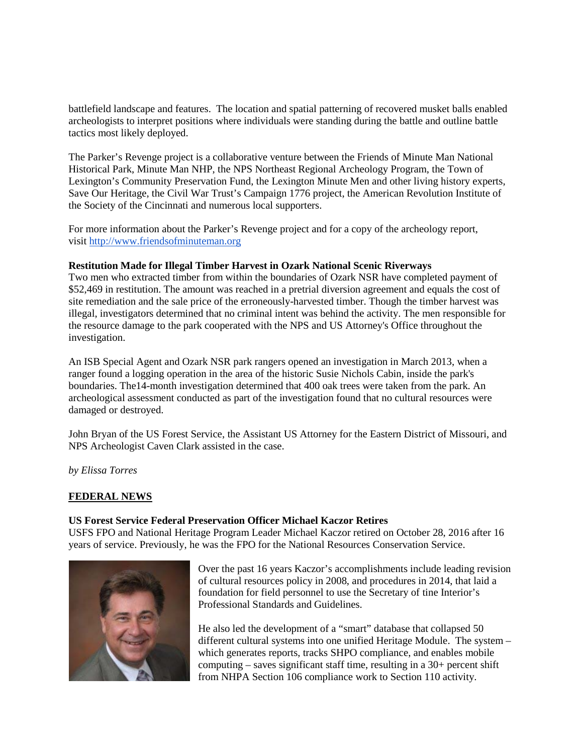battlefield landscape and features. The location and spatial patterning of recovered musket balls enabled archeologists to interpret positions where individuals were standing during the battle and outline battle tactics most likely deployed.

The Parker's Revenge project is a collaborative venture between the Friends of Minute Man National Historical Park, Minute Man NHP, the NPS Northeast Regional Archeology Program, the Town of Lexington's Community Preservation Fund, the Lexington Minute Men and other living history experts, Save Our Heritage, the Civil War Trust's Campaign 1776 project, the American Revolution Institute of the Society of the Cincinnati and numerous local supporters.

For more information about the Parker's Revenge project and for a copy of the archeology report, visit [http://www.friendsofminuteman.org](http://www.google.com/url?q=http%3A%2F%2Fwww.friendsofminuteman.org%2F&sa=D&sntz=1&usg=AFQjCNGGrvUrgBkKUVhtl14zn6muR603cQ)

#### **Restitution Made for Illegal Timber Harvest in Ozark National Scenic Riverways**

Two men who extracted timber from within the boundaries of Ozark NSR have completed payment of \$52,469 in restitution. The amount was reached in a pretrial diversion agreement and equals the cost of site remediation and the sale price of the erroneously-harvested timber. Though the timber harvest was illegal, investigators determined that no criminal intent was behind the activity. The men responsible for the resource damage to the park cooperated with the NPS and US Attorney's Office throughout the investigation.

An ISB Special Agent and Ozark NSR park rangers opened an investigation in March 2013, when a ranger found a logging operation in the area of the historic Susie Nichols Cabin, inside the park's boundaries. The14-month investigation determined that 400 oak trees were taken from the park. An archeological assessment conducted as part of the investigation found that no cultural resources were damaged or destroyed.

John Bryan of the US Forest Service, the Assistant US Attorney for the Eastern District of Missouri, and NPS Archeologist Caven Clark assisted in the case.

*by Elissa Torres*

#### **FEDERAL NEWS**

#### **US Forest Service Federal Preservation Officer Michael Kaczor Retires**

USFS FPO and National Heritage Program Leader Michael Kaczor retired on October 28, 2016 after 16 years of service. Previously, he was the FPO for the National Resources Conservation Service.



Over the past 16 years Kaczor's accomplishments include leading revision of cultural resources policy in 2008, and procedures in 2014, that laid a foundation for field personnel to use the Secretary of tine Interior's Professional Standards and Guidelines.

He also led the development of a "smart" database that collapsed 50 different cultural systems into one unified Heritage Module. The system – which generates reports, tracks SHPO compliance, and enables mobile computing – saves significant staff time, resulting in a 30+ percent shift from NHPA Section 106 compliance work to Section 110 activity.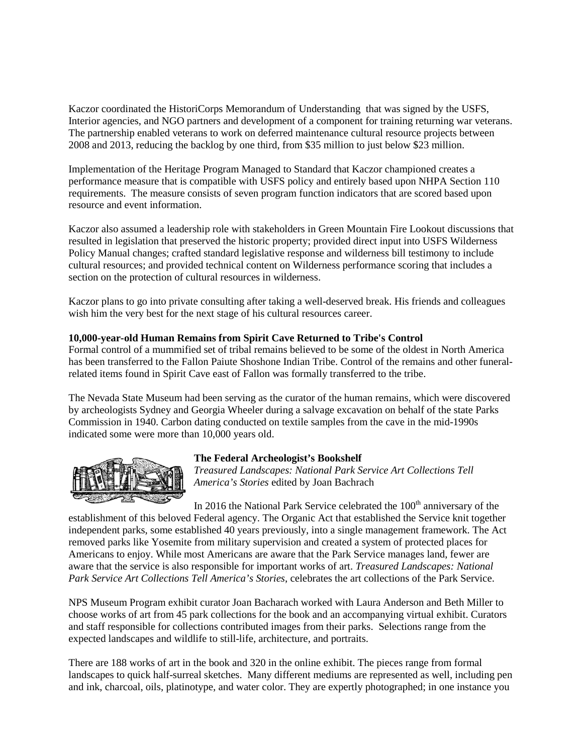Kaczor coordinated the HistoriCorps Memorandum of Understanding that was signed by the USFS, Interior agencies, and NGO partners and development of a component for training returning war veterans. The partnership enabled veterans to work on deferred maintenance cultural resource projects between 2008 and 2013, reducing the backlog by one third, from \$35 million to just below \$23 million.

Implementation of the Heritage Program Managed to Standard that Kaczor championed creates a performance measure that is compatible with USFS policy and entirely based upon NHPA Section 110 requirements. The measure consists of seven program function indicators that are scored based upon resource and event information.

Kaczor also assumed a leadership role with stakeholders in Green Mountain Fire Lookout discussions that resulted in legislation that preserved the historic property; provided direct input into USFS Wilderness Policy Manual changes; crafted standard legislative response and wilderness bill testimony to include cultural resources; and provided technical content on Wilderness performance scoring that includes a section on the protection of cultural resources in wilderness.

Kaczor plans to go into private consulting after taking a well-deserved break. His friends and colleagues wish him the very best for the next stage of his cultural resources career.

## **10,000-year-old Human Remains from Spirit Cave Returned to Tribe's Control**

Formal control of a mummified set of tribal remains believed to be some of the oldest in North America has been transferred to the Fallon Paiute Shoshone Indian Tribe. Control of the remains and other funeralrelated items found in Spirit Cave east of Fallon was formally transferred to the tribe.

The Nevada State Museum had been serving as the curator of the human remains, which were discovered by archeologists Sydney and Georgia Wheeler during a salvage excavation on behalf of the state Parks Commission in 1940. Carbon dating conducted on textile samples from the cave in the mid-1990s indicated some were more than 10,000 years old.



#### **The Federal Archeologist's Bookshelf**

*Treasured Landscapes: National Park Service Art Collections Tell America's Stories* edited by Joan Bachrach

In 2016 the National Park Service celebrated the  $100<sup>th</sup>$  anniversary of the establishment of this beloved Federal agency. The Organic Act that established the Service knit together independent parks, some established 40 years previously, into a single management framework. The Act removed parks like Yosemite from military supervision and created a system of protected places for Americans to enjoy. While most Americans are aware that the Park Service manages land, fewer are aware that the service is also responsible for important works of art. *Treasured Landscapes: National Park Service Art Collections Tell America's Stories*, celebrates the art collections of the Park Service.

NPS Museum Program exhibit curator Joan Bacharach worked with Laura Anderson and Beth Miller to choose works of art from 45 park collections for the book and an accompanying virtual exhibit. Curators and staff responsible for collections contributed images from their parks. Selections range from the expected landscapes and wildlife to still-life, architecture, and portraits.

There are 188 works of art in the book and 320 in the online exhibit. The pieces range from formal landscapes to quick half-surreal sketches. Many different mediums are represented as well, including pen and ink, charcoal, oils, platinotype, and water color. They are expertly photographed; in one instance you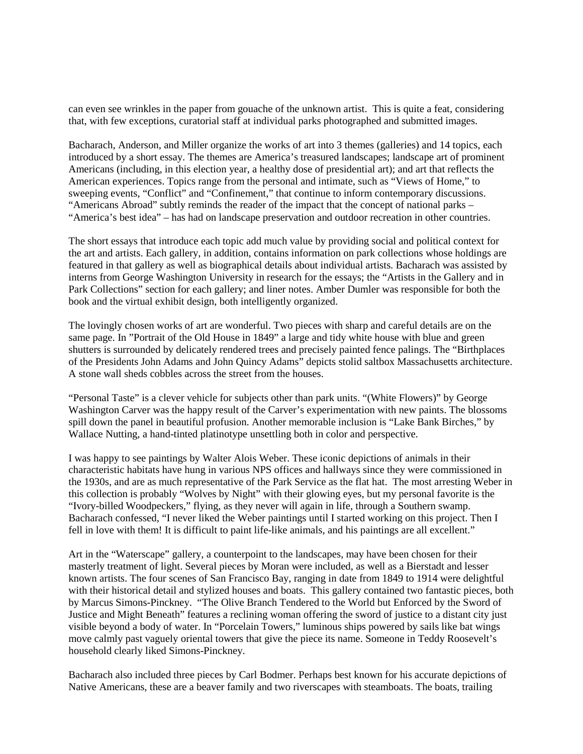can even see wrinkles in the paper from gouache of the unknown artist. This is quite a feat, considering that, with few exceptions, curatorial staff at individual parks photographed and submitted images.

Bacharach, Anderson, and Miller organize the works of art into 3 themes (galleries) and 14 topics, each introduced by a short essay. The themes are America's treasured landscapes; landscape art of prominent Americans (including, in this election year, a healthy dose of presidential art); and art that reflects the American experiences. Topics range from the personal and intimate, such as "Views of Home," to sweeping events, "Conflict" and "Confinement," that continue to inform contemporary discussions. "Americans Abroad" subtly reminds the reader of the impact that the concept of national parks – "America's best idea" – has had on landscape preservation and outdoor recreation in other countries.

The short essays that introduce each topic add much value by providing social and political context for the art and artists. Each gallery, in addition, contains information on park collections whose holdings are featured in that gallery as well as biographical details about individual artists. Bacharach was assisted by interns from George Washington University in research for the essays; the "Artists in the Gallery and in Park Collections" section for each gallery; and liner notes. Amber Dumler was responsible for both the book and the virtual exhibit design, both intelligently organized.

The lovingly chosen works of art are wonderful. Two pieces with sharp and careful details are on the same page. In "Portrait of the Old House in 1849" a large and tidy white house with blue and green shutters is surrounded by delicately rendered trees and precisely painted fence palings. The "Birthplaces of the Presidents John Adams and John Quincy Adams" depicts stolid saltbox Massachusetts architecture. A stone wall sheds cobbles across the street from the houses.

"Personal Taste" is a clever vehicle for subjects other than park units. "(White Flowers)" by George Washington Carver was the happy result of the Carver's experimentation with new paints. The blossoms spill down the panel in beautiful profusion. Another memorable inclusion is "Lake Bank Birches," by Wallace Nutting, a hand-tinted platinotype unsettling both in color and perspective.

I was happy to see paintings by Walter Alois Weber. These iconic depictions of animals in their characteristic habitats have hung in various NPS offices and hallways since they were commissioned in the 1930s, and are as much representative of the Park Service as the flat hat. The most arresting Weber in this collection is probably "Wolves by Night" with their glowing eyes, but my personal favorite is the "Ivory-billed Woodpeckers," flying, as they never will again in life, through a Southern swamp. Bacharach confessed, "I never liked the Weber paintings until I started working on this project. Then I fell in love with them! It is difficult to paint life-like animals, and his paintings are all excellent."

Art in the "Waterscape" gallery, a counterpoint to the landscapes, may have been chosen for their masterly treatment of light. Several pieces by Moran were included, as well as a Bierstadt and lesser known artists. The four scenes of San Francisco Bay, ranging in date from 1849 to 1914 were delightful with their historical detail and stylized houses and boats. This gallery contained two fantastic pieces, both by Marcus Simons-Pinckney. "The Olive Branch Tendered to the World but Enforced by the Sword of Justice and Might Beneath" features a reclining woman offering the sword of justice to a distant city just visible beyond a body of water. In "Porcelain Towers," luminous ships powered by sails like bat wings move calmly past vaguely oriental towers that give the piece its name. Someone in Teddy Roosevelt's household clearly liked Simons-Pinckney.

Bacharach also included three pieces by Carl Bodmer. Perhaps best known for his accurate depictions of Native Americans, these are a beaver family and two riverscapes with steamboats. The boats, trailing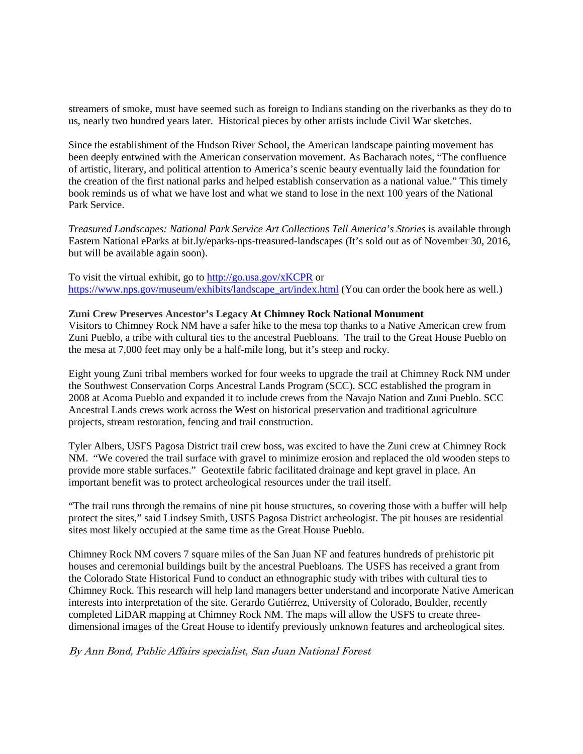streamers of smoke, must have seemed such as foreign to Indians standing on the riverbanks as they do to us, nearly two hundred years later. Historical pieces by other artists include Civil War sketches.

Since the establishment of the Hudson River School, the American landscape painting movement has been deeply entwined with the American conservation movement. As Bacharach notes, "The confluence of artistic, literary, and political attention to America's scenic beauty eventually laid the foundation for the creation of the first national parks and helped establish conservation as a national value." This timely book reminds us of what we have lost and what we stand to lose in the next 100 years of the National Park Service.

*Treasured Landscapes: National Park Service Art Collections Tell America's Stories* is available through Eastern National eParks at bit.ly/eparks-nps-treasured-landscapes (It's sold out as of November 30, 2016, but will be available again soon).

To visit the virtual exhibit, go to<http://go.usa.gov/xKCPR> or [https://www.nps.gov/museum/exhibits/landscape\\_art/index.html](https://www.nps.gov/museum/exhibits/landscape_art/index.html) (You can order the book here as well.)

#### **Zuni Crew Preserves Ancestor's Legacy At Chimney Rock National Monument**

Visitors to Chimney Rock NM have a safer hike to the mesa top thanks to a Native American crew from Zuni Pueblo, a tribe with cultural ties to the ancestral Puebloans. The trail to the Great House Pueblo on the mesa at 7,000 feet may only be a half-mile long, but it's steep and rocky.

Eight young Zuni tribal members worked for four weeks to upgrade the trail at Chimney Rock NM under the Southwest Conservation Corps Ancestral Lands Program (SCC). SCC established the program in 2008 at Acoma Pueblo and expanded it to include crews from the Navajo Nation and Zuni Pueblo. SCC Ancestral Lands crews work across the West on historical preservation and traditional agriculture projects, stream restoration, fencing and trail construction.

Tyler Albers, USFS Pagosa District trail crew boss, was excited to have the Zuni crew at Chimney Rock NM. "We covered the trail surface with gravel to minimize erosion and replaced the old wooden steps to provide more stable surfaces." Geotextile fabric facilitated drainage and kept gravel in place. An important benefit was to protect archeological resources under the trail itself.

"The trail runs through the remains of nine pit house structures, so covering those with a buffer will help protect the sites," said Lindsey Smith, USFS Pagosa District archeologist. The pit houses are residential sites most likely occupied at the same time as the Great House Pueblo.

Chimney Rock NM covers 7 square miles of the San Juan NF and features hundreds of prehistoric pit houses and ceremonial buildings built by the ancestral Puebloans. The USFS has received a grant from the Colorado State Historical Fund to conduct an ethnographic study with tribes with cultural ties to Chimney Rock. This research will help land managers better understand and incorporate Native American interests into interpretation of the site. Gerardo Gutiérrez, University of Colorado, Boulder, recently completed LiDAR mapping at Chimney Rock NM. The maps will allow the USFS to create threedimensional images of the Great House to identify previously unknown features and archeological sites.

#### By Ann Bond, Public Affairs specialist, San Juan National Forest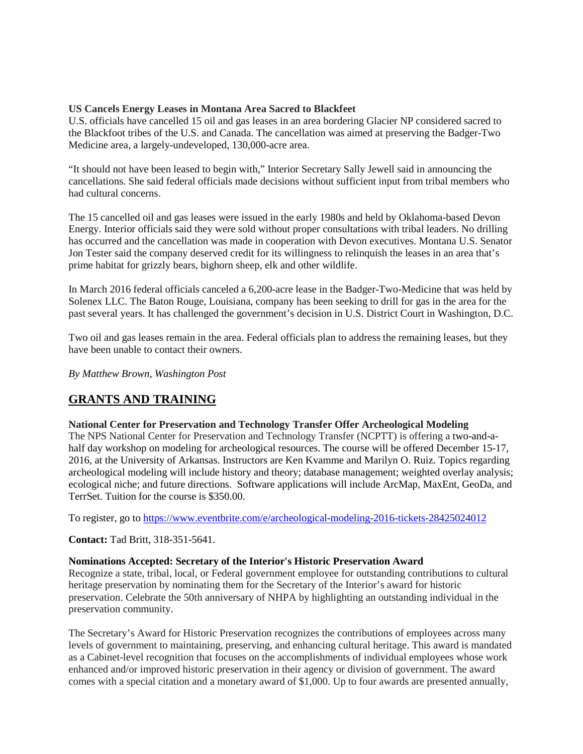## **US Cancels Energy Leases in Montana Area Sacred to Blackfeet**

U.S. officials have cancelled 15 oil and gas leases in an area bordering Glacier NP considered sacred to the Blackfoot tribes of the U.S. and Canada. The cancellation was aimed at preserving the Badger-Two Medicine area, a largely-undeveloped, 130,000-acre area.

"It should not have been leased to begin with," Interior Secretary Sally Jewell said in announcing the cancellations. She said federal officials made decisions without sufficient input from tribal members who had cultural concerns.

The 15 cancelled oil and gas leases were issued in the early 1980s and held by Oklahoma-based Devon Energy. Interior officials said they were sold without proper consultations with tribal leaders. No drilling has occurred and the cancellation was made in cooperation with Devon executives. Montana U.S. Senator Jon Tester said the company deserved credit for its willingness to relinquish the leases in an area that's prime habitat for grizzly bears, bighorn sheep, elk and other wildlife.

In March 2016 federal officials canceled a 6,200-acre lease in the Badger-Two-Medicine that was held by Solenex LLC. The Baton Rouge, Louisiana, company has been seeking to drill for gas in the area for the past several years. It has challenged the government's decision in U.S. District Court in Washington, D.C.

Two oil and gas leases remain in the area. Federal officials plan to address the remaining leases, but they have been unable to contact their owners.

*By Matthew Brown, Washington Post*

# **GRANTS AND TRAINING**

## **National Center for Preservation and Technology Transfer Offer Archeological Modeling**

The NPS National Center for Preservation and Technology Transfer (NCPTT) is offering a two-and-ahalf day workshop on modeling for archeological resources. The course will be offered December 15-17, 2016, at the University of Arkansas. Instructors are Ken Kvamme and Marilyn O. Ruiz. Topics regarding archeological modeling will include history and theory; database management; weighted overlay analysis; ecological niche; and future directions. Software applications will include ArcMap, MaxEnt, GeoDa, and TerrSet. Tuition for the course is \$350.00.

To register, go to<https://www.eventbrite.com/e/archeological-modeling-2016-tickets-28425024012>

**Contact:** Tad Britt, 318-351-5641.

## **Nominations Accepted: Secretary of the Interior's Historic Preservation Award**

Recognize a state, tribal, local, or Federal government employee for outstanding contributions to cultural heritage preservation by nominating them for the Secretary of the Interior's award for historic preservation. Celebrate the 50th anniversary of NHPA by highlighting an outstanding individual in the preservation community.

The Secretary's Award for Historic Preservation recognizes the contributions of employees across many levels of government to maintaining, preserving, and enhancing cultural heritage. This award is mandated as a Cabinet-level recognition that focuses on the accomplishments of individual employees whose work enhanced and/or improved historic preservation in their agency or division of government. The award comes with a special citation and a monetary award of \$1,000. Up to four awards are presented annually,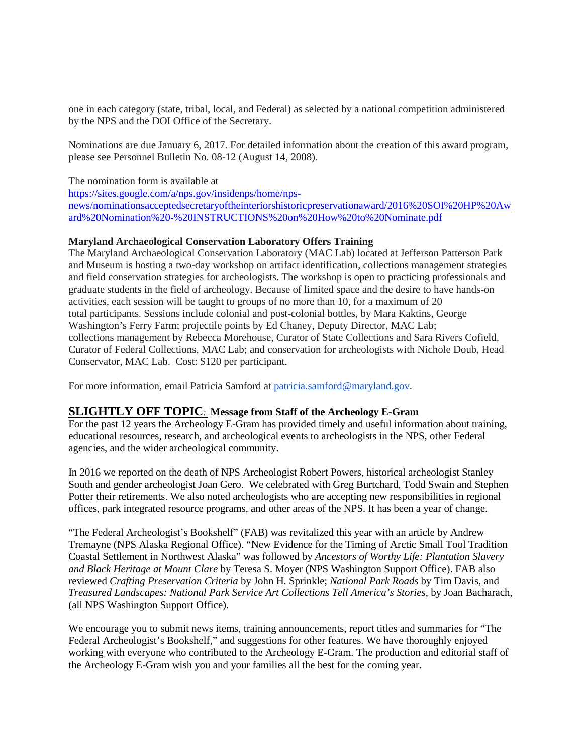one in each category (state, tribal, local, and Federal) as selected by a national competition administered by the NPS and the DOI Office of the Secretary.

Nominations are due January 6, 2017. For detailed information about the creation of this award program, please see Personnel Bulletin No. 08-12 (August 14, 2008).

The nomination form is available at

[https://sites.google.com/a/nps.gov/insidenps/home/nps](https://sites.google.com/a/nps.gov/insidenps/home/nps-news/nominationsacceptedsecretaryoftheinteriorshistoricpreservationaward/2016%20SOI%20HP%20Award%20Nomination%20-%20INSTRUCTIONS%20on%20How%20to%20Nominate.pdf)[news/nominationsacceptedsecretaryoftheinteriorshistoricpreservationaward/2016%20SOI%20HP%20Aw](https://sites.google.com/a/nps.gov/insidenps/home/nps-news/nominationsacceptedsecretaryoftheinteriorshistoricpreservationaward/2016%20SOI%20HP%20Award%20Nomination%20-%20INSTRUCTIONS%20on%20How%20to%20Nominate.pdf) [ard%20Nomination%20-%20INSTRUCTIONS%20on%20How%20to%20Nominate.pdf](https://sites.google.com/a/nps.gov/insidenps/home/nps-news/nominationsacceptedsecretaryoftheinteriorshistoricpreservationaward/2016%20SOI%20HP%20Award%20Nomination%20-%20INSTRUCTIONS%20on%20How%20to%20Nominate.pdf)

## **Maryland Archaeological Conservation Laboratory Offers Training**

The Maryland Archaeological Conservation Laboratory (MAC Lab) located at Jefferson Patterson Park and Museum is hosting a two-day workshop on artifact identification, collections management strategies and field conservation strategies for archeologists. The workshop is open to practicing professionals and graduate students in the field of archeology. Because of limited space and the desire to have hands-on activities, each session will be taught to groups of no more than 10, for a maximum of 20 total participants. Sessions include colonial and post-colonial bottles, by Mara Kaktins, George Washington's Ferry Farm; projectile points by Ed Chaney, Deputy Director, MAC Lab; collections management by Rebecca Morehouse, Curator of State Collections and Sara Rivers Cofield, Curator of Federal Collections, MAC Lab; and conservation for archeologists with Nichole Doub, Head Conservator, MAC Lab. Cost: \$120 per participant.

For more information, email Patricia Samford at [patricia.samford@maryland.gov.](mailto:patricia.samford@maryland.gov)

## **SLIGHTLY OFF TOPIC***:* **Message from Staff of the Archeology E-Gram**

For the past 12 years the Archeology E-Gram has provided timely and useful information about training, educational resources, research, and archeological events to archeologists in the NPS, other Federal agencies, and the wider archeological community.

In 2016 we reported on the death of NPS Archeologist Robert Powers, historical archeologist Stanley South and gender archeologist Joan Gero. We celebrated with Greg Burtchard, Todd Swain and Stephen Potter their retirements. We also noted archeologists who are accepting new responsibilities in regional offices, park integrated resource programs, and other areas of the NPS. It has been a year of change.

"The Federal Archeologist's Bookshelf" (FAB) was revitalized this year with an article by Andrew Tremayne (NPS Alaska Regional Office). "New Evidence for the Timing of Arctic Small Tool Tradition Coastal Settlement in Northwest Alaska" was followed by *Ancestors of Worthy Life: Plantation Slavery and Black Heritage at Mount Clare* by Teresa S. Moyer (NPS Washington Support Office). FAB also reviewed *Crafting Preservation Criteria* by John H. Sprinkle; *National Park Roads* by Tim Davis, and *Treasured Landscapes: National Park Service Art Collections Tell America's Stories*, by Joan Bacharach, (all NPS Washington Support Office).

We encourage you to submit news items, training announcements, report titles and summaries for "The Federal Archeologist's Bookshelf," and suggestions for other features. We have thoroughly enjoyed working with everyone who contributed to the Archeology E-Gram. The production and editorial staff of the Archeology E-Gram wish you and your families all the best for the coming year.